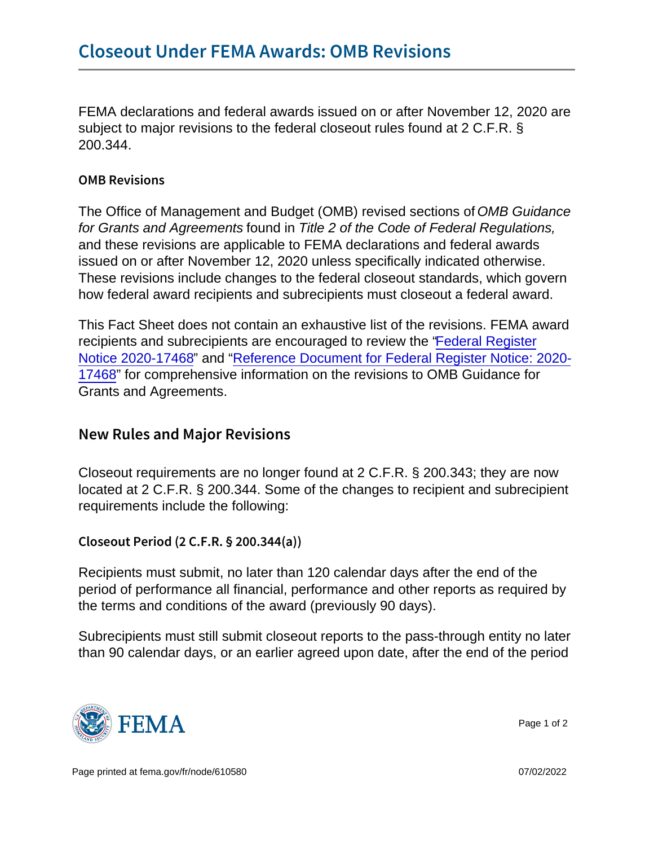FEMA declarations and federal awards issued on or after November 12, 2020 are subject to major revisions to the federal closeout rules found at 2 C.F.R. § 200.344.

## OMB Revisions

The Office of Management and Budget (OMB) revised sections of OMB Guidance for Grants and Agreements found in Title 2 of the Code of Federal Regulations, and these revisions are applicable to FEMA declarations and federal awards issued on or after November 12, 2020 unless specifically indicated otherwise. These revisions include changes to the federal closeout standards, which govern how federal award recipients and subrecipients must closeout a federal award.

This Fact Sheet does not contain an exhaustive list of the revisions. FEMA award recipients and subrecipients are encouraged to review the ["Federal Register](https://www.govinfo.gov/content/pkg/FR-2020-08-13/pdf/2020-17468.pdf) [Notice 2020-17468](https://www.govinfo.gov/content/pkg/FR-2020-08-13/pdf/2020-17468.pdf)" and ["Reference Document for Federal Register Notice: 2020-](https://trumpadministration.archives.performance.gov/CAP/20200812-2-CFR-Revision-Redline_Final.pdf) [17468"](https://trumpadministration.archives.performance.gov/CAP/20200812-2-CFR-Revision-Redline_Final.pdf) for comprehensive information on the revisions to OMB Guidance for Grants and Agreements.

## New Rules and Major Revisions

Closeout requirements are no longer found at 2 C.F.R. § 200.343; they are now located at 2 C.F.R. § 200.344. Some of the changes to recipient and subrecipient requirements include the following:

Closeout Period (2 C.F.R. § 200.344(a))

Recipients must submit, no later than 120 calendar days after the end of the period of performance all financial, performance and other reports as required by the terms and conditions of the award (previously 90 days).

Subrecipients must still submit closeout reports to the pass-through entity no later than 90 calendar days, or an earlier agreed upon date, after the end of the period



Page 1 of 2